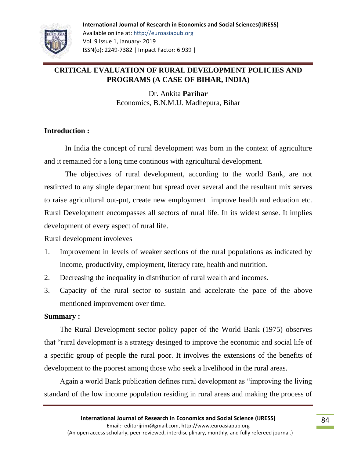# **CRITICAL EVALUATION OF RURAL DEVELOPMENT POLICIES AND PROGRAMS (A CASE OF BIHAR, INDIA)**

Dr. Ankita **Parihar** Economics, B.N.M.U. Madhepura, Bihar

## **Introduction :**

In India the concept of rural development was born in the context of agriculture and it remained for a long time continous with agricultural development.

The objectives of rural development, according to the world Bank, are not restircted to any single department but spread over several and the resultant mix serves to raise agricultural out-put, create new employment improve health and eduation etc. Rural Development encompasses all sectors of rural life. In its widest sense. It implies development of every aspect of rural life.

Rural development involeves

- 1. Improvement in levels of weaker sections of the rural populations as indicated by income, productivity, employment, literacy rate, health and nutrition.
- 2. Decreasing the inequality in distribution of rural wealth and incomes.
- 3. Capacity of the rural sector to sustain and accelerate the pace of the above mentioned improvement over time.

### **Summary :**

The Rural Development sector policy paper of the World Bank (1975) observes that "rural development is a strategy desinged to improve the economic and social life of a specific group of people the rural poor. It involves the extensions of the benefits of development to the poorest among those who seek a livelihood in the rural areas.

Again a world Bank publication defines rural development as "improving the living standard of the low income population residing in rural areas and making the process of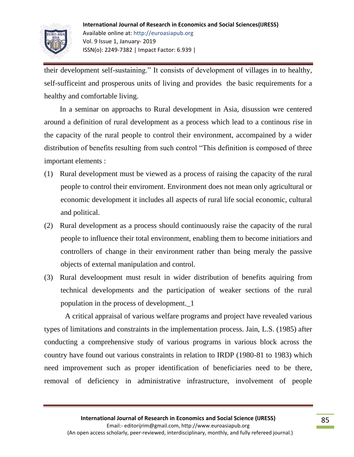

their development self-sustaining." It consists of development of villages in to healthy, self-sufficeint and prosperous units of living and provides the basic requirements for a healthy and comfortable living.

In a seminar on approachs to Rural development in Asia, disussion wre centered around a definition of rural development as a process which lead to a continous rise in the capacity of the rural people to control their environment, accompained by a wider distribution of benefits resulting from such control "This definition is composed of three important elements :

- (1) Rural development must be viewed as a process of raising the capacity of the rural people to control their enviroment. Environment does not mean only agricultural or economic development it includes all aspects of rural life social economic, cultural and political.
- (2) Rural development as a process should continuously raise the capacity of the rural people to influence their total environment, enabling them to become initiatiors and controllers of change in their environment rather than being meraly the passive objects of external manipulation and control.
- (3) Rural develoopment must result in wider distribution of benefits aquiring from technical developments and the participation of weaker sections of the rural population in the process of development.\_1

A critical appraisal of various welfare programs and project have revealed various types of limitations and constraints in the implementation process. Jain, L.S. (1985) after conducting a comprehensive study of various programs in various block across the country have found out various constraints in relation to IRDP (1980-81 to 1983) which need improvement such as proper identification of beneficiaries need to be there, removal of deficiency in administrative infrastructure, involvement of people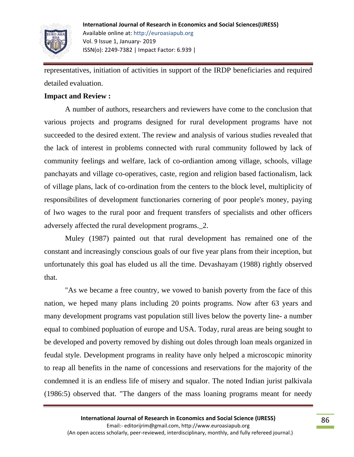

representatives, initiation of activities in support of the IRDP beneficiaries and required detailed evaluation.

### **Impact and Review :**

A number of authors, researchers and reviewers have come to the conclusion that various projects and programs designed for rural development programs have not succeeded to the desired extent. The review and analysis of various studies revealed that the lack of interest in problems connected with rural community followed by lack of community feelings and welfare, lack of co-ordiantion among village, schools, village panchayats and village co-operatives, caste, region and religion based factionalism, lack of village plans, lack of co-ordination from the centers to the block level, multiplicity of responsibilites of development functionaries cornering of poor people's money, paying of lwo wages to the rural poor and frequent transfers of specialists and other officers adversely affected the rural development programs.\_2.

Muley (1987) painted out that rural development has remained one of the constant and increasingly conscious goals of our five year plans from their inception, but unfortunately this goal has eluded us all the time. Devashayam (1988) rightly observed that.

"As we became a free country, we vowed to banish poverty from the face of this nation, we heped many plans including 20 points programs. Now after 63 years and many development programs vast population still lives below the poverty line- a number equal to combined popluation of europe and USA. Today, rural areas are being sought to be developed and poverty removed by dishing out doles through loan meals organized in feudal style. Development programs in reality have only helped a microscopic minority to reap all benefits in the name of concessions and reservations for the majority of the condemned it is an endless life of misery and squalor. The noted Indian jurist palkivala (1986:5) observed that. "The dangers of the mass loaning programs meant for needy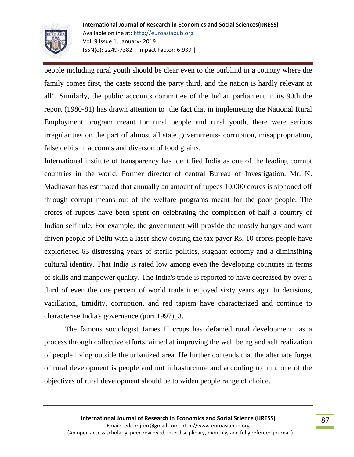

people including rural youth should be clear even to the purblind in a country where the family comes first, the caste second the party third, and the nation is hardly relevant at all". Similarly, the public accounts committee of the Indian parliament in its 90th the report (1980-81) has drawn attention to the fact that in implemeting the National Rural Employment program meant for rural people and rural youth, there were serious irregularities on the part of almost all state governments- corruption, misappropriation, false debits in accounts and diverson of food grains.

International institute of transparency has identified India as one of the leading corrupt countries in the world. Former director of central Bureau of Investigation. Mr. K. Madhavan has estimated that annually an amount of rupees 10,000 crores is siphoned off through corrupt means out of the welfare programs meant for the poor people. The crores of rupees have been spent on celebrating the completion of half a country of Indian self-rule. For example, the government will provide the mostly hungry and want driven people of Delhi with a laser show costing the tax payer Rs. 10 crores people have expierieced 63 distressing years of sterile politics, stagnant ecoomy and a diminsihing cultural identity. That India is rated low among even the developing countries in terms of skills and manpower quality. The India's trade is reported to have decreased by over a third of even the one percent of world trade it enjoyed sixty years ago. In decisions, vacillation, timidity, corruption, and red tapism have characterized and continue to characterise India's governance (puri 1997)\_3.

The famous sociologist James H crops has defamed rural development as a process through collective efforts, aimed at improving the well being and self realization of people living outside the urbanized area. He further contends that the alternate forget of rural development is people and not infrasturcture and according to him, one of the objectives of rural development should be to widen people range of choice.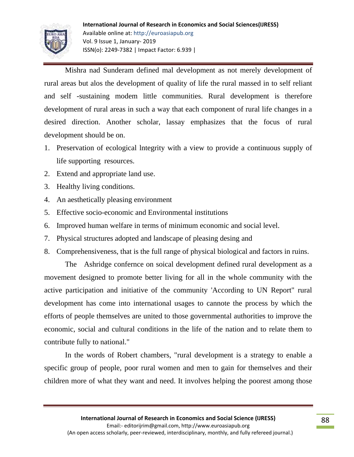

Mishra nad Sunderam defined mal development as not merely development of rural areas but alos the development of quality of life the rural massed in to self reliant and self -sustaining modem little communities. Rural development is therefore development of rural areas in such a way that each component of rural life changes in a desired direction. Another scholar, lassay emphasizes that the focus of rural development should be on.

- 1. Preservation of ecological lntegrity with a view to provide a continuous supply of life supporting resources.
- 2. Extend and appropriate land use.
- 3. Healthy living conditions.
- 4. An aesthetically pleasing environment
- 5. Effective socio-economic and Environmental institutions
- 6. Improved human welfare in terms of minimum economic and social level.
- 7. Physical structures adopted and landscape of pleasing desing and
- 8. Comprehensiveness, that is the full range of physical biological and factors in ruins.

The Ashridge confernce on soical development defined rural development as a movement designed to promote better living for all in the whole community with the active participation and initiative of the community 'According to UN Report" rural development has come into international usages to cannote the process by which the efforts of people themselves are united to those governmental authorities to improve the economic, social and cultural conditions in the life of the nation and to relate them to contribute fully to national."

In the words of Robert chambers, "rural development is a strategy to enable a specific group of people, poor rural women and men to gain for themselves and their children more of what they want and need. It involves helping the poorest among those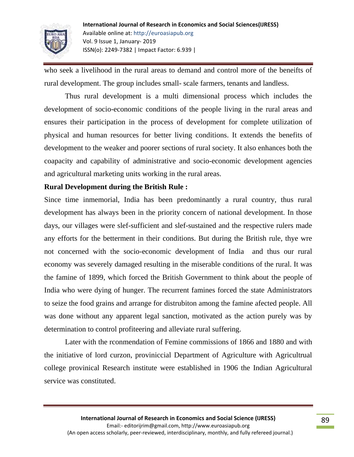

who seek a livelihood in the rural areas to demand and control more of the beneifts of rural development. The group includes small- scale farmers, tenants and landless.

Thus rural development is a multi dimensional process which includes the development of socio-economic conditions of the people living in the rural areas and ensures their participation in the process of development for complete utilization of physical and human resources for better living conditions. It extends the benefits of development to the weaker and poorer sections of rural society. It also enhances both the coapacity and capability of administrative and socio-economic development agencies and agricultural marketing units working in the rural areas.

### **Rural Development during the British Rule :**

Since time inmemorial, India has been predominantly a rural country, thus rural development has always been in the priority concern of national development. In those days, our villages were slef-sufficient and slef-sustained and the respective rulers made any efforts for the betterment in their conditions. But during the British rule, thye wre not concerned with the socio-economic development of India and thus our rural economy was severely damaged resulting in the miserable conditions of the rural. It was the famine of 1899, which forced the British Government to think about the people of India who were dying of hunger. The recurrent famines forced the state Administrators to seize the food grains and arrange for distrubiton among the famine afected people. All was done without any apparent legal sanction, motivated as the action purely was by determination to control profiteering and alleviate rural suffering.

Later with the rconmendation of Femine commissions of 1866 and 1880 and with the initiative of lord curzon, proviniccial Department of Agriculture with Agricultrual college provinical Research institute were established in 1906 the Indian Agricultural service was constituted.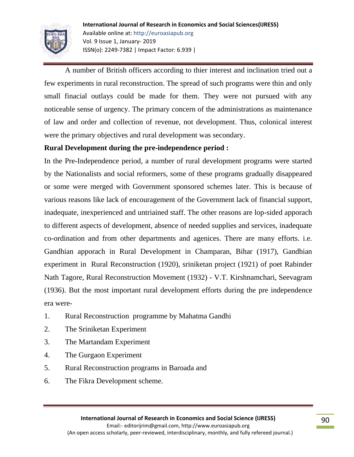

A number of British officers according to thier interest and inclination tried out a few experiments in rural reconstruction. The spread of such programs were thin and only small finacial outlays could be made for them. They were not pursued with any noticeable sense of urgency. The primary concern of the administrations as maintenance of law and order and collection of revenue, not development. Thus, colonical interest were the primary objectives and rural development was secondary.

## **Rural Development during the pre-independence period :**

In the Pre-Independence period, a number of rural development programs were started by the Nationalists and social reformers, some of these programs gradually disappeared or some were merged with Government sponsored schemes later. This is because of various reasons like lack of encouragement of the Government lack of financial support, inadequate, inexperienced and untriained staff. The other reasons are lop-sided apporach to different aspects of development, absence of needed supplies and services, inadequate co-ordination and from other departments and agenices. There are many efforts. i.e. Gandhian apporach in Rural Development in Champaran, Bihar (1917), Gandhian experiment in Rural Reconstruction (1920), sriniketan project (1921) of poet Rabinder Nath Tagore, Rural Reconstruction Movement (1932) - V.T. Kirshnamchari, Seevagram (1936). But the most important rural development efforts during the pre independence era were-

- 1. Rural Reconstruction programme by Mahatma Gandhi
- 2. The Sriniketan Experiment
- 3. The Martandam Experiment
- 4. The Gurgaon Experiment
- 5. Rural Reconstruction programs in Baroada and
- 6. The Fikra Development scheme.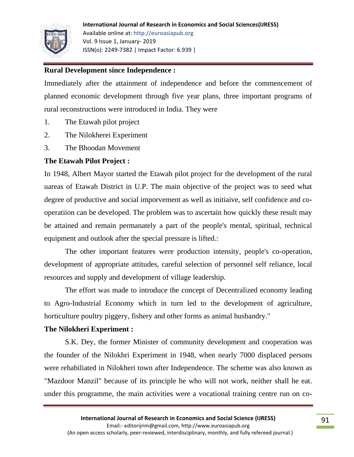

### **Rural Development since Independence :**

Immediately after the attainment of independence and before the commencement of planned economic development through five year plans, three important programs of rural reconstructions were introduced in India. They were

- 1. The Etawah pilot project
- 2. The Nilokherei Experiment
- 3. The Bhoodan Movement

## **The Etawah Pilot Project :**

In 1948, Albert Mayor started the Etawah pilot project for the development of the rural uareas of Etawah District in U.P. The main objective of the project was to seed what degree of productive and social imporvement as well as initiaive, self confidence and cooperatiion can be developed. The problem was to ascertain how quickly these result may be attained and remain permanately a part of the people's mental, spiritual, technical equipment and outlook after the special pressure is lifted.:

The other important features were production intensity, people's co-operation, development of appropriate attitudes, careful selection of personnel self reliance, local resources and supply and development of village leadership.

The effort was made to introduce the concept of Decentralized economy leading to Agro-Industrial Economy which in turn led to the development of agriculture, horticulture poultry piggery, fishery and other forms as animal husbandry."

### **The Nilokheri Experiment :**

S.K. Dey, the former Minister of community development and cooperation was the founder of the Nilokhri Experiment in 1948, when nearly 7000 displaced persons were rehabiliated in Nilokheri town after Independence. The scheme was also known as "Mazdoor Manzil" because of its principle he who will not work, neither shall he eat. under this programme, the main activities were a vocational training centre run on co-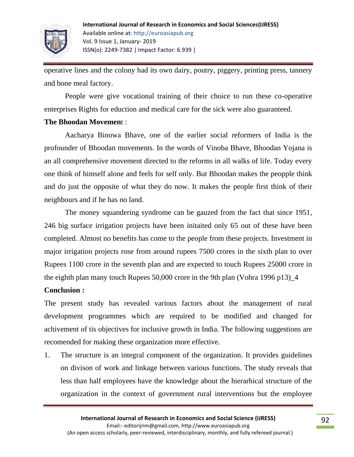

operative lines and the colony had its own dairy, poutry, piggery, printing press, tannery and bone meal factory.

People were give vocational training of their choice to run these co-operative enterprises Rights for eduction and medical care for the sick were also guaranteed.

### **The Bhoodan Movemen**t :

Aacharya Binowa Bhave, one of the earlier social reformers of India is the profounder of Bhoodan movements. In the words of Vinoba Bhave, Bhoodan Yojana is an all comprehensive movement directed to the reforms in all walks of life. Today every one think of himself alone and feels for self only. But Bhoodan makes the peopple think and do just the opposite of what they do now. It makes the people first think of their neighbours and if he has no land.

The money squandering syndrome can be gauzed from the fact that since 1951, 246 big surface irrigation projects have been initaited only 65 out of these have been completed. Almost no benefits has come to the people from these projects. Investment in major irrigation projects rose from around rupees 7500 crores in the sixth plan to over Rupees 1100 crore in the seventh plan and are expected to touch Rupees 25000 crore in the eighth plan many touch Rupees 50,000 crore in the 9th plan (Vohra 1996 p13)\_4

### **Conclusion :**

The present study has revealed various factors about the management of rural development programmes which are required to be modified and changed for achivement of tis objectives for inclusive growth in India. The following suggestions are recomended for making these organization more effective.

1. The structure is an integral component of the organization. It provides guidelines on divison of work and linkage between various functions. The study reveals that less than half employees have the knowledge about the hierarhical structure of the organization in the context of government rural interventions but the employee